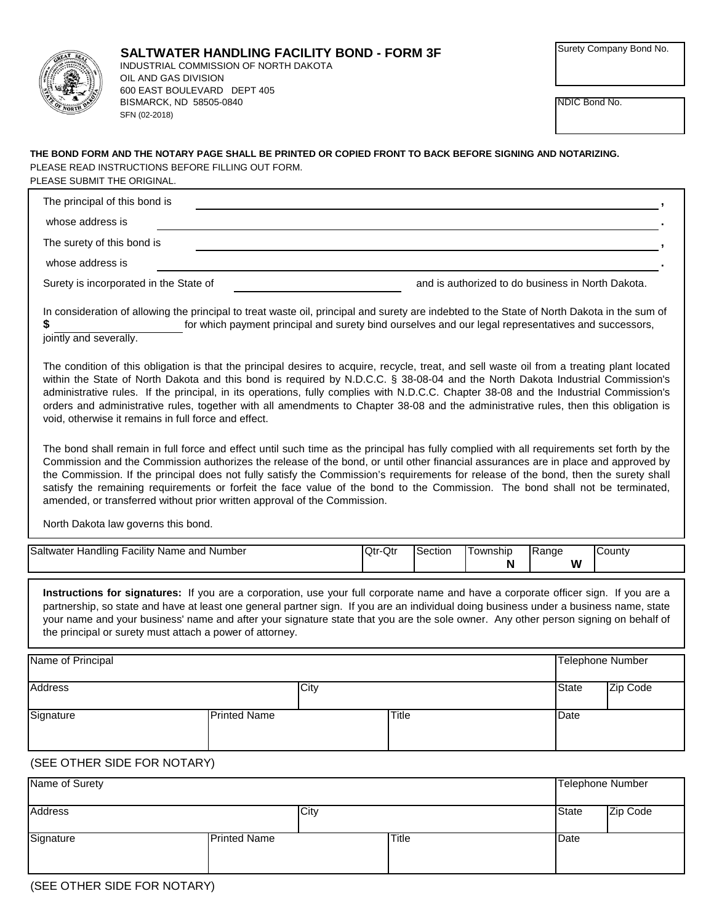

NDIC Bond No.

## PLEASE SUBMIT THE ORIGINAL. PLEASE READ INSTRUCTIONS BEFORE FILLING OUT FORM. **THE BOND FORM AND THE NOTARY PAGE SHALL BE PRINTED OR COPIED FRONT TO BACK BEFORE SIGNING AND NOTARIZING.**

| The principal of this bond is          |                                                   |
|----------------------------------------|---------------------------------------------------|
| whose address is                       |                                                   |
| The surety of this bond is             |                                                   |
| whose address is                       |                                                   |
| Surety is incorporated in the State of | and is authorized to do business in North Dakota. |

for which payment principal and surety bind ourselves and our legal representatives and successors, **\$** In consideration of allowing the principal to treat waste oil, principal and surety are indebted to the State of North Dakota in the sum of

jointly and severally.

The condition of this obligation is that the principal desires to acquire, recycle, treat, and sell waste oil from a treating plant located within the State of North Dakota and this bond is required by N.D.C.C. § 38-08-04 and the North Dakota Industrial Commission's administrative rules. If the principal, in its operations, fully complies with N.D.C.C. Chapter 38-08 and the Industrial Commission's orders and administrative rules, together with all amendments to Chapter 38-08 and the administrative rules, then this obligation is void, otherwise it remains in full force and effect.

The bond shall remain in full force and effect until such time as the principal has fully complied with all requirements set forth by the Commission and the Commission authorizes the release of the bond, or until other financial assurances are in place and approved by the Commission. If the principal does not fully satisfy the Commission's requirements for release of the bond, then the surety shall satisfy the remaining requirements or forfeit the face value of the bond to the Commission. The bond shall not be terminated, amended, or transferred without prior written approval of the Commission.

North Dakota law governs this bond.

| <br>Saltwater<br>Number<br>and<br>ndlinc<br>Name<br>∵acılıtv<br>лаг | $\sim$<br>-Qtr<br>lQtr | Section | ownship | <b>IRange</b> | Count∨ |
|---------------------------------------------------------------------|------------------------|---------|---------|---------------|--------|
|                                                                     |                        |         | B<br>   | w<br>. .      |        |

**Instructions for signatures:** If you are a corporation, use your full corporate name and have a corporate officer sign. If you are a partnership, so state and have at least one general partner sign. If you are an individual doing business under a business name, state your name and your business' name and after your signature state that you are the sole owner. Any other person signing on behalf of the principal or surety must attach a power of attorney.

| Name of Principal |                     |      |       |              | <b>Telephone Number</b> |
|-------------------|---------------------|------|-------|--------------|-------------------------|
| <b>Address</b>    |                     | City |       | <b>State</b> | Zip Code                |
| Signature         | <b>Printed Name</b> |      | Title | Date         |                         |

## (SEE OTHER SIDE FOR NOTARY)

| Name of Surety |                     |       | Telephone Number |          |
|----------------|---------------------|-------|------------------|----------|
| <b>Address</b> | City                |       | <b>State</b>     | Zip Code |
| Signature      | <b>Printed Name</b> | Title | Date             |          |